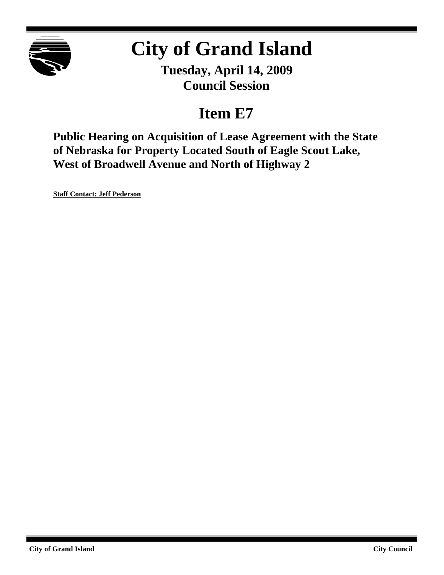

# **City of Grand Island**

**Tuesday, April 14, 2009 Council Session**

## **Item E7**

**Public Hearing on Acquisition of Lease Agreement with the State of Nebraska for Property Located South of Eagle Scout Lake, West of Broadwell Avenue and North of Highway 2**

**Staff Contact: Jeff Pederson**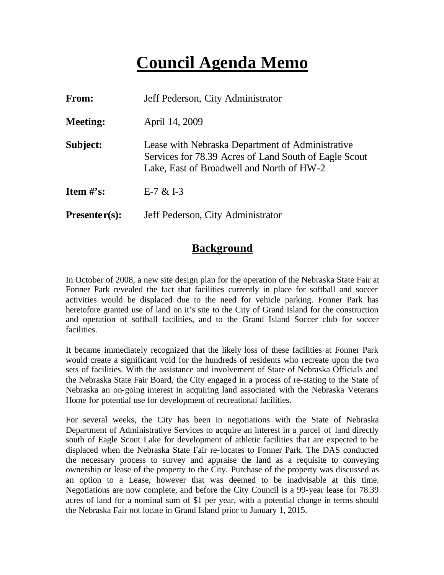## **Council Agenda Memo**

| From:                | Jeff Pederson, City Administrator                                                                                                                      |
|----------------------|--------------------------------------------------------------------------------------------------------------------------------------------------------|
| <b>Meeting:</b>      | April 14, 2009                                                                                                                                         |
| Subject:             | Lease with Nebraska Department of Administrative<br>Services for 78.39 Acres of Land South of Eagle Scout<br>Lake, East of Broadwell and North of HW-2 |
| <b>Item</b> $\#$ 's: | $E-7 & E1-3$                                                                                                                                           |
| $Presenter(s):$      | Jeff Pederson, City Administrator                                                                                                                      |

#### **Background**

In October of 2008, a new site design plan for the operation of the Nebraska State Fair at Fonner Park revealed the fact that facilities currently in place for softball and soccer activities would be displaced due to the need for vehicle parking. Fonner Park has heretofore granted use of land on it's site to the City of Grand Island for the construction and operation of softball facilities, and to the Grand Island Soccer club for soccer facilities.

It became immediately recognized that the likely loss of these facilities at Fonner Park would create a significant void for the hundreds of residents who recreate upon the two sets of facilities. With the assistance and involvement of State of Nebraska Officials and the Nebraska State Fair Board, the City engaged in a process of re-stating to the State of Nebraska an on-going interest in acquiring land associated with the Nebraska Veterans Home for potential use for development of recreational facilities.

For several weeks, the City has been in negotiations with the State of Nebraska Department of Administrative Services to acquire an interest in a parcel of land directly south of Eagle Scout Lake for development of athletic facilities that are expected to be displaced when the Nebraska State Fair re-locates to Fonner Park. The DAS conducted the necessary process to survey and appraise the land as a requisite to conveying ownership or lease of the property to the City. Purchase of the property was discussed as an option to a Lease, however that was deemed to be inadvisable at this time. Negotiations are now complete, and before the City Council is a 99-year lease for 78.39 acres of land for a nominal sum of \$1 per year, with a potential change in terms should the Nebraska Fair not locate in Grand Island prior to January 1, 2015.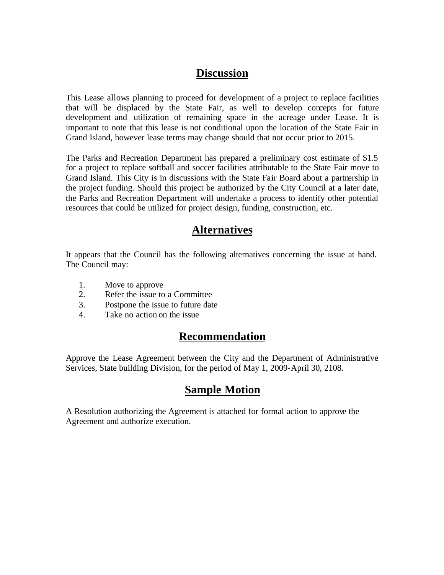## **Discussion**

This Lease allows planning to proceed for development of a project to replace facilities that will be displaced by the State Fair, as well to develop concepts for future development and utilization of remaining space in the acreage under Lease. It is important to note that this lease is not conditional upon the location of the State Fair in Grand Island, however lease terms may change should that not occur prior to 2015.

The Parks and Recreation Department has prepared a preliminary cost estimate of \$1.5 for a project to replace softball and soccer facilities attributable to the State Fair move to Grand Island. This City is in discussions with the State Fair Board about a partnership in the project funding. Should this project be authorized by the City Council at a later date, the Parks and Recreation Department will undertake a process to identify other potential resources that could be utilized for project design, funding, construction, etc.

## **Alternatives**

It appears that the Council has the following alternatives concerning the issue at hand. The Council may:

- 1. Move to approve
- 2. Refer the issue to a Committee
- 3. Postpone the issue to future date
- 4. Take no action on the issue

## **Recommendation**

Approve the Lease Agreement between the City and the Department of Administrative Services, State building Division, for the period of May 1, 2009-April 30, 2108.

## **Sample Motion**

A Resolution authorizing the Agreement is attached for formal action to approve the Agreement and authorize execution.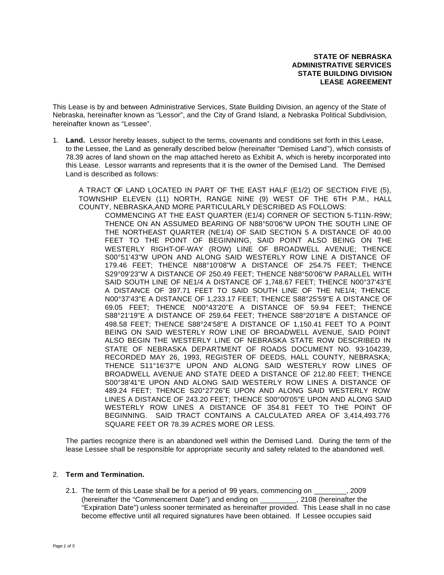**STATE OF NEBRASKA ADMINISTRATIVE SERVICES STATE BUILDING DIVISION LEASE AGREEMENT**

This Lease is by and between Administrative Services, State Building Division, an agency of the State of Nebraska, hereinafter known as "Lessor", and the City of Grand Island, a Nebraska Political Subdivision, hereinafter known as "Lessee".

1. **Land.** Lessor hereby leases, subject to the terms, covenants and conditions set forth in this Lease, to the Lessee, the Land as generally described below (hereinafter "Demised Land"), which consists of 78.39 acres of land shown on the map attached hereto as Exhibit A, which is hereby incorporated into this Lease. Lessor warrants and represents that it is the owner of the Demised Land. The Demised Land is described as follows:

A TRACT OF LAND LOCATED IN PART OF THE EAST HALF (E1/2) OF SECTION FIVE (5), TOWNSHIP ELEVEN (11) NORTH, RANGE NINE (9) WEST OF THE 6TH P.M., HALL COUNTY, NEBRASKA,AND MORE PARTICULARLY DESCRIBED AS FOLLOWS:

COMMENCING AT THE EAST QUARTER (E1/4) CORNER OF SECTION 5-T11N-R9W; THENCE ON AN ASSUMED BEARING OF N88°50'06"W UPON THE SOUTH LINE OF THE NORTHEAST QUARTER (NE1/4) OF SAID SECTION 5 A DISTANCE OF 40.00 FEET TO THE POINT OF BEGINNING, SAID POINT ALSO BEING ON THE WESTERLY RIGHT-OF-WAY (ROW) LINE OF BROADWELL AVENUE; THENCE S00°51'43"W UPON AND ALONG SAID WESTERLY ROW LINE A DISTANCE OF 179.46 FEET; THENCE N88°10'08"W A DISTANCE OF 254.75 FEET; THENCE S29°09'23"W A DISTANCE OF 250.49 FEET; THENCE N88°50'06"W PARALLEL WITH SAID SOUTH LINE OF NE1/4 A DISTANCE OF 1,748.67 FEET; THENCE N00°37'43"E A DISTANCE OF 397.71 FEET TO SAID SOUTH LINE OF THE NE1/4; THENCE N00°37'43"E A DISTANCE OF 1,233.17 FEET; THENCE S88°25'59"E A DISTANCE OF 69.05 FEET; THENCE N00°43'20"E A DISTANCE OF 59.94 FEET; THENCE S88°21'19"E A DISTANCE OF 259.64 FEET; THENCE S88°20'18"E A DISTANCE OF 498.58 FEET; THENCE S88°24'58"E A DISTANCE OF 1,150.41 FEET TO A POINT BEING ON SAID WESTERLY ROW LINE OF BROADWELL AVENUE, SAID POINT ALSO BEGIN THE WESTERLY LINE OF NEBRASKA STATE ROW DESCRIBED IN STATE OF NEBRASKA DEPARTMENT OF ROADS DOCUMENT NO. 93-104239, RECORDED MAY 26, 1993, REGISTER OF DEEDS, HALL COUNTY, NEBRASKA; THENCE S11°16'37"E UPON AND ALONG SAID WESTERLY ROW LINES OF BROADWELL AVENUE AND STATE DEED A DISTANCE OF 212.80 FEET; THENCE S00°38'41"E UPON AND ALONG SAID WESTERLY ROW LINES A DISTANCE OF 489.24 FEET; THENCE S20°27'26"E UPON AND ALONG SAID WESTERLY ROW LINES A DISTANCE OF 243.20 FEET; THENCE S00°00'05"E UPON AND ALONG SAID WESTERLY ROW LINES A DISTANCE OF 354.81 FEET TO THE POINT OF BEGINNING. SAID TRACT CONTAINS A CALCULATED AREA OF 3,414,493.776 SQUARE FEET OR 78.39 ACRES MORE OR LESS.

The parties recognize there is an abandoned well within the Demised Land. During the term of the lease Lessee shall be responsible for appropriate security and safety related to the abandoned well.

#### 2. **Term and Termination.**

2.1. The term of this Lease shall be for a period of 99 years, commencing on \_\_\_\_\_\_\_\_, 2009 (hereinafter the "Commencement Date") and ending on \_\_\_\_\_\_\_\_\_, 2108 (hereinafter the "Expiration Date") unless sooner terminated as hereinafter provided. This Lease shall in no case become effective until all required signatures have been obtained. If Lessee occupies said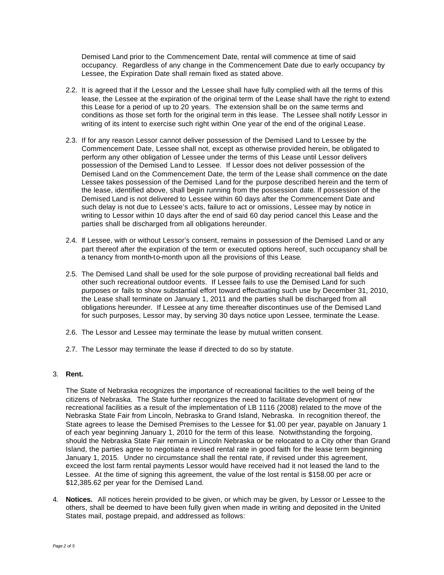Demised Land prior to the Commencement Date, rental will commence at time of said occupancy. Regardless of any change in the Commencement Date due to early occupancy by Lessee, the Expiration Date shall remain fixed as stated above.

- 2.2. It is agreed that if the Lessor and the Lessee shall have fully complied with all the terms of this lease, the Lessee at the expiration of the original term of the Lease shall have the right to extend this Lease for a period of up to 20 years. The extension shall be on the same terms and conditions as those set forth for the original term in this lease. The Lessee shall notify Lessor in writing of its intent to exercise such right within One year of the end of the original Lease.
- 2.3. If for any reason Lessor cannot deliver possession of the Demised Land to Lessee by the Commencement Date, Lessee shall not, except as otherwise provided herein, be obligated to perform any other obligation of Lessee under the terms of this Lease until Lessor delivers possession of the Demised Land to Lessee. If Lessor does not deliver possession of the Demised Land on the Commencement Date, the term of the Lease shall commence on the date Lessee takes possession of the Demised Land for the purpose described herein and the term of the lease, identified above, shall begin running from the possession date. If possession of the Demised Land is not delivered to Lessee within 60 days after the Commencement Date and such delay is not due to Lessee's acts, failure to act or omissions, Lessee may by notice in writing to Lessor within 10 days after the end of said 60 day period cancel this Lease and the parties shall be discharged from all obligations hereunder.
- 2.4. If Lessee, with or without Lessor's consent, remains in possession of the Demised Land or any part thereof after the expiration of the term or executed options hereof, such occupancy shall be a tenancy from month-to-month upon all the provisions of this Lease.
- 2.5. The Demised Land shall be used for the sole purpose of providing recreational ball fields and other such recreational outdoor events. If Lessee fails to use the Demised Land for such purposes or fails to show substantial effort toward effectuating such use by December 31, 2010, the Lease shall terminate on January 1, 2011 and the parties shall be discharged from all obligations hereunder. If Lessee at any time thereafter discontinues use of the Demised Land for such purposes, Lessor may, by serving 30 days notice upon Lessee, terminate the Lease.
- 2.6. The Lessor and Lessee may terminate the lease by mutual written consent.
- 2.7. The Lessor may terminate the lease if directed to do so by statute.

#### 3. **Rent.**

The State of Nebraska recognizes the importance of recreational facilities to the well being of the citizens of Nebraska. The State further recognizes the need to facilitate development of new recreational facilities as a result of the implementation of LB 1116 (2008) related to the move of the Nebraska State Fair from Lincoln, Nebraska to Grand Island, Nebraska. In recognition thereof, the State agrees to lease the Demised Premises to the Lessee for \$1.00 per year, payable on January 1 of each year beginning January 1, 2010 for the term of this lease. Notwithstanding the forgoing, should the Nebraska State Fair remain in Lincoln Nebraska or be relocated to a City other than Grand Island, the parties agree to negotiate a revised rental rate in good faith for the lease term beginning January 1, 2015. Under no circumstance shall the rental rate, if revised under this agreement, exceed the lost farm rental payments Lessor would have received had it not leased the land to the Lessee. At the time of signing this agreement, the value of the lost rental is \$158.00 per acre or \$12,385.62 per year for the Demised Land.

4. **Notices.** All notices herein provided to be given, or which may be given, by Lessor or Lessee to the others, shall be deemed to have been fully given when made in writing and deposited in the United States mail, postage prepaid, and addressed as follows: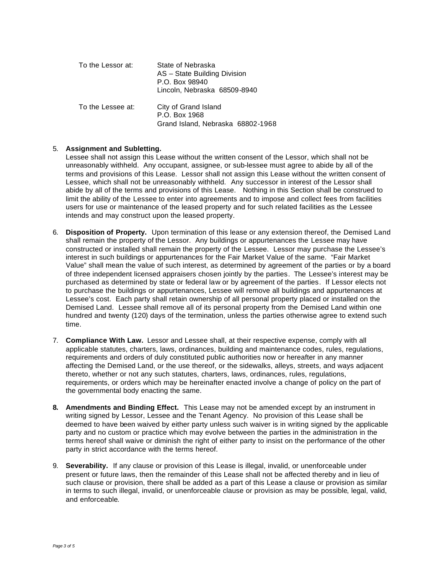| To the Lessor at: | State of Nebraska<br>AS - State Building Division<br>P.O. Box 98940<br>Lincoln, Nebraska 68509-8940 |
|-------------------|-----------------------------------------------------------------------------------------------------|
| To the Lessee at: | City of Grand Island<br>P.O. Box 1968<br>Grand Island, Nebraska 68802-1968                          |

#### 5. **Assignment and Subletting.**

Lessee shall not assign this Lease without the written consent of the Lessor, which shall not be unreasonably withheld. Any occupant, assignee, or sub-lessee must agree to abide by all of the terms and provisions of this Lease. Lessor shall not assign this Lease without the written consent of Lessee, which shall not be unreasonably withheld. Any successor in interest of the Lessor shall abide by all of the terms and provisions of this Lease. Nothing in this Section shall be construed to limit the ability of the Lessee to enter into agreements and to impose and collect fees from facilities users for use or maintenance of the leased property and for such related facilities as the Lessee intends and may construct upon the leased property.

- 6. **Disposition of Property.** Upon termination of this lease or any extension thereof, the Demised Land shall remain the property of the Lessor. Any buildings or appurtenances the Lessee may have constructed or installed shall remain the property of the Lessee. Lessor may purchase the Lessee's interest in such buildings or appurtenances for the Fair Market Value of the same. "Fair Market Value" shall mean the value of such interest, as determined by agreement of the parties or by a board of three independent licensed appraisers chosen jointly by the parties. The Lessee's interest may be purchased as determined by state or federal law or by agreement of the parties. If Lessor elects not to purchase the buildings or appurtenances, Lessee will remove all buildings and appurtenances at Lessee's cost. Each party shall retain ownership of all personal property placed or installed on the Demised Land. Lessee shall remove all of its personal property from the Demised Land within one hundred and twenty (120) days of the termination, unless the parties otherwise agree to extend such time.
- 7. **Compliance With Law.** Lessor and Lessee shall, at their respective expense, comply with all applicable statutes, charters, laws, ordinances, building and maintenance codes, rules, regulations, requirements and orders of duly constituted public authorities now or hereafter in any manner affecting the Demised Land, or the use thereof, or the sidewalks, alleys, streets, and ways adjacent thereto, whether or not any such statutes, charters, laws, ordinances, rules, regulations, requirements, or orders which may be hereinafter enacted involve a change of policy on the part of the governmental body enacting the same.
- **8. Amendments and Binding Effect.** This Lease may not be amended except by an instrument in writing signed by Lessor, Lessee and the Tenant Agency. No provision of this Lease shall be deemed to have been waived by either party unless such waiver is in writing signed by the applicable party and no custom or practice which may evolve between the parties in the administration in the terms hereof shall waive or diminish the right of either party to insist on the performance of the other party in strict accordance with the terms hereof.
- 9. **Severability.** If any clause or provision of this Lease is illegal, invalid, or unenforceable under present or future laws, then the remainder of this Lease shall not be affected thereby and in lieu of such clause or provision, there shall be added as a part of this Lease a clause or provision as similar in terms to such illegal, invalid, or unenforceable clause or provision as may be possible, legal, valid, and enforceable.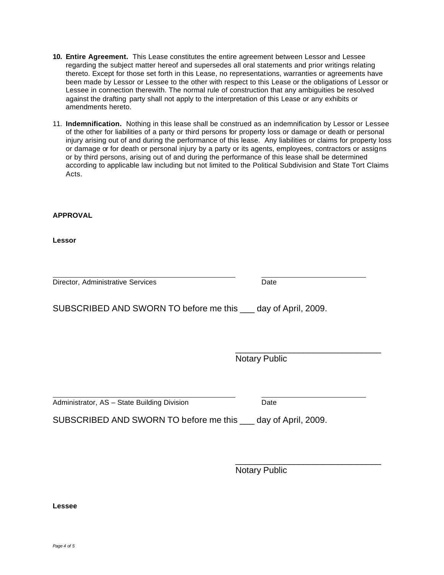**Lessee**

- **10. Entire Agreement.** This Lease constitutes the entire agreement between Lessor and Lessee regarding the subject matter hereof and supersedes all oral statements and prior writings relating thereto. Except for those set forth in this Lease, no representations, warranties or agreements have been made by Lessor or Lessee to the other with respect to this Lease or the obligations of Lessor or Lessee in connection therewith. The normal rule of construction that any ambiguities be resolved against the drafting party shall not apply to the interpretation of this Lease or any exhibits or amendments hereto.
- 11. **Indemnification.** Nothing in this lease shall be construed as an indemnification by Lessor or Lessee of the other for liabilities of a party or third persons for property loss or damage or death or personal injury arising out of and during the performance of this lease. Any liabilities or claims for property loss or damage or for death or personal injury by a party or its agents, employees, contractors or assigns or by third persons, arising out of and during the performance of this lease shall be determined according to applicable law including but not limited to the Political Subdivision and State Tort Claims Acts.

#### **APPROVAL**

**Lessor**

Director, Administrative Services **Director**, Administrative Services

SUBSCRIBED AND SWORN TO before me this day of April, 2009.

Notary Public

\_\_\_\_\_\_\_\_\_\_\_\_\_\_\_\_\_\_\_\_\_\_\_\_\_\_\_\_\_\_

Administrator, AS – State Building Division Date

SUBSCRIBED AND SWORN TO before me this \_\_\_ day of April, 2009.

\_\_\_\_\_\_\_\_\_\_\_\_\_\_\_\_\_\_\_\_\_\_\_\_\_\_\_\_\_\_ Notary Public